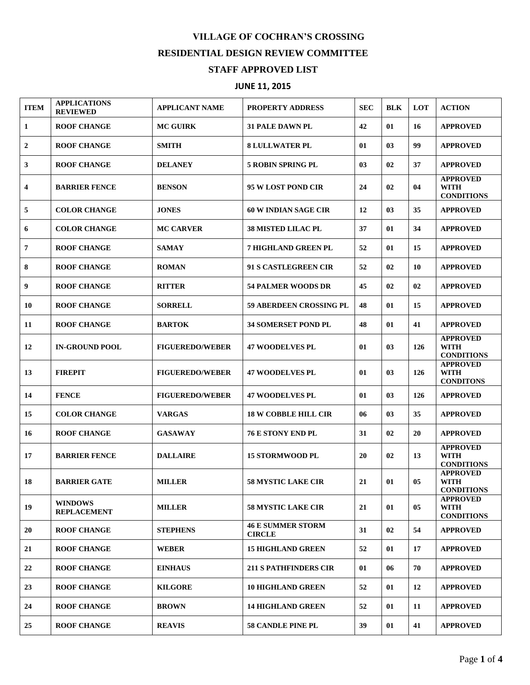## **VILLAGE OF COCHRAN'S CROSSING RESIDENTIAL DESIGN REVIEW COMMITTEE STAFF APPROVED LIST**

## **JUNE 11, 2015**

| <b>ITEM</b> | <b>APPLICATIONS</b><br><b>REVIEWED</b> | APPLICANT NAME         | <b>PROPERTY ADDRESS</b>                   | <b>SEC</b> | <b>BLK</b>     | <b>LOT</b> | <b>ACTION</b>                                       |
|-------------|----------------------------------------|------------------------|-------------------------------------------|------------|----------------|------------|-----------------------------------------------------|
| 1           | <b>ROOF CHANGE</b>                     | <b>MC GUIRK</b>        | <b>31 PALE DAWN PL</b>                    | 42         | 01             | 16         | <b>APPROVED</b>                                     |
| 2           | <b>ROOF CHANGE</b>                     | <b>SMITH</b>           | <b>8 LULLWATER PL</b>                     | 01         | 0 <sub>3</sub> | 99         | <b>APPROVED</b>                                     |
| 3           | <b>ROOF CHANGE</b>                     | <b>DELANEY</b>         | <b>5 ROBIN SPRING PL</b>                  | 03         | 02             | 37         | <b>APPROVED</b>                                     |
| 4           | <b>BARRIER FENCE</b>                   | <b>BENSON</b>          | 95 W LOST POND CIR                        | 24         | 02             | 04         | <b>APPROVED</b><br><b>WITH</b><br><b>CONDITIONS</b> |
| 5           | <b>COLOR CHANGE</b>                    | <b>JONES</b>           | <b>60 W INDIAN SAGE CIR</b>               | 12         | 03             | 35         | <b>APPROVED</b>                                     |
| 6           | <b>COLOR CHANGE</b>                    | <b>MC CARVER</b>       | <b>38 MISTED LILAC PL</b>                 | 37         | 01             | 34         | <b>APPROVED</b>                                     |
| 7           | <b>ROOF CHANGE</b>                     | <b>SAMAY</b>           | 7 HIGHLAND GREEN PL                       | 52         | 01             | 15         | <b>APPROVED</b>                                     |
| 8           | <b>ROOF CHANGE</b>                     | <b>ROMAN</b>           | <b>91 S CASTLEGREEN CIR</b>               | 52         | 02             | 10         | <b>APPROVED</b>                                     |
| 9           | <b>ROOF CHANGE</b>                     | <b>RITTER</b>          | <b>54 PALMER WOODS DR</b>                 | 45         | 02             | 02         | <b>APPROVED</b>                                     |
| 10          | <b>ROOF CHANGE</b>                     | <b>SORRELL</b>         | <b>59 ABERDEEN CROSSING PL</b>            | 48         | 01             | 15         | <b>APPROVED</b>                                     |
| 11          | <b>ROOF CHANGE</b>                     | <b>BARTOK</b>          | <b>34 SOMERSET POND PL</b>                | 48         | 01             | 41         | <b>APPROVED</b>                                     |
| 12          | <b>IN-GROUND POOL</b>                  | <b>FIGUEREDO/WEBER</b> | <b>47 WOODELVES PL</b>                    | 01         | 03             | 126        | <b>APPROVED</b><br><b>WITH</b><br><b>CONDITIONS</b> |
| 13          | <b>FIREPIT</b>                         | <b>FIGUEREDO/WEBER</b> | <b>47 WOODELVES PL</b>                    | 01         | 03             | 126        | <b>APPROVED</b><br><b>WITH</b><br><b>CONDITONS</b>  |
| 14          | <b>FENCE</b>                           | <b>FIGUEREDO/WEBER</b> | <b>47 WOODELVES PL</b>                    | 01         | 03             | 126        | <b>APPROVED</b>                                     |
| 15          | <b>COLOR CHANGE</b>                    | <b>VARGAS</b>          | <b>18 W COBBLE HILL CIR</b>               | 06         | 03             | 35         | <b>APPROVED</b>                                     |
| 16          | <b>ROOF CHANGE</b>                     | <b>GASAWAY</b>         | <b>76 E STONY END PL</b>                  | 31         | 02             | 20         | <b>APPROVED</b>                                     |
| 17          | <b>BARRIER FENCE</b>                   | <b>DALLAIRE</b>        | <b>15 STORMWOOD PL</b>                    | 20         | 02             | 13         | <b>APPROVED</b><br><b>WITH</b><br><b>CONDITIONS</b> |
| 18          | <b>BARRIER GATE</b>                    | <b>MILLER</b>          | <b>58 MYSTIC LAKE CIR</b>                 | 21         | 01             | 05         | <b>APPROVED</b><br><b>WITH</b><br><b>CONDITIONS</b> |
| 19          | <b>WINDOWS</b><br><b>REPLACEMENT</b>   | <b>MILLER</b>          | <b>58 MYSTIC LAKE CIR</b>                 | 21         | 01             | 05         | <b>APPROVED</b><br><b>WITH</b><br><b>CONDITIONS</b> |
| 20          | <b>ROOF CHANGE</b>                     | <b>STEPHENS</b>        | <b>46 E SUMMER STORM</b><br><b>CIRCLE</b> | 31         | 02             | 54         | <b>APPROVED</b>                                     |
| 21          | <b>ROOF CHANGE</b>                     | WEBER                  | <b>15 HIGHLAND GREEN</b>                  | 52         | 01             | 17         | <b>APPROVED</b>                                     |
| 22          | <b>ROOF CHANGE</b>                     | <b>EINHAUS</b>         | <b>211 S PATHFINDERS CIR</b>              | 01         | 06             | 70         | <b>APPROVED</b>                                     |
| 23          | <b>ROOF CHANGE</b>                     | <b>KILGORE</b>         | <b>10 HIGHLAND GREEN</b>                  | 52         | 01             | 12         | <b>APPROVED</b>                                     |
| 24          | <b>ROOF CHANGE</b>                     | <b>BROWN</b>           | <b>14 HIGHLAND GREEN</b>                  | 52         | 01             | 11         | <b>APPROVED</b>                                     |
| 25          | <b>ROOF CHANGE</b>                     | <b>REAVIS</b>          | <b>58 CANDLE PINE PL</b>                  | 39         | 01             | 41         | <b>APPROVED</b>                                     |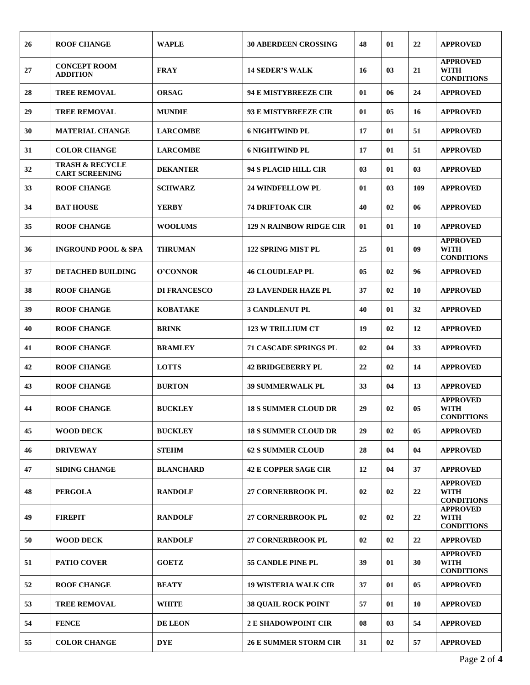| 26 | <b>ROOF CHANGE</b>                                  | <b>WAPLE</b>        | <b>30 ABERDEEN CROSSING</b>    | 48 | 01 | 22  | <b>APPROVED</b>                                     |
|----|-----------------------------------------------------|---------------------|--------------------------------|----|----|-----|-----------------------------------------------------|
| 27 | <b>CONCEPT ROOM</b><br><b>ADDITION</b>              | <b>FRAY</b>         | <b>14 SEDER'S WALK</b>         | 16 | 03 | 21  | <b>APPROVED</b><br><b>WITH</b><br><b>CONDITIONS</b> |
| 28 | <b>TREE REMOVAL</b>                                 | <b>ORSAG</b>        | 94 E MISTYBREEZE CIR           | 01 | 06 | 24  | <b>APPROVED</b>                                     |
| 29 | <b>TREE REMOVAL</b>                                 | <b>MUNDIE</b>       | 93 E MISTYBREEZE CIR           | 01 | 05 | 16  | <b>APPROVED</b>                                     |
| 30 | <b>MATERIAL CHANGE</b>                              | <b>LARCOMBE</b>     | <b>6 NIGHTWIND PL</b>          | 17 | 01 | 51  | <b>APPROVED</b>                                     |
| 31 | <b>COLOR CHANGE</b>                                 | <b>LARCOMBE</b>     | <b>6 NIGHTWIND PL</b>          | 17 | 01 | 51  | <b>APPROVED</b>                                     |
| 32 | <b>TRASH &amp; RECYCLE</b><br><b>CART SCREENING</b> | <b>DEKANTER</b>     | 94 S PLACID HILL CIR           | 03 | 01 | 03  | <b>APPROVED</b>                                     |
| 33 | <b>ROOF CHANGE</b>                                  | <b>SCHWARZ</b>      | <b>24 WINDFELLOW PL</b>        | 01 | 03 | 109 | <b>APPROVED</b>                                     |
| 34 | <b>BAT HOUSE</b>                                    | <b>YERBY</b>        | <b>74 DRIFTOAK CIR</b>         | 40 | 02 | 06  | <b>APPROVED</b>                                     |
| 35 | <b>ROOF CHANGE</b>                                  | <b>WOOLUMS</b>      | <b>129 N RAINBOW RIDGE CIR</b> | 01 | 01 | 10  | <b>APPROVED</b>                                     |
| 36 | <b>INGROUND POOL &amp; SPA</b>                      | <b>THRUMAN</b>      | <b>122 SPRING MIST PL</b>      | 25 | 01 | 09  | <b>APPROVED</b><br><b>WITH</b><br><b>CONDITIONS</b> |
| 37 | <b>DETACHED BUILDING</b>                            | O'CONNOR            | <b>46 CLOUDLEAP PL</b>         | 05 | 02 | 96  | <b>APPROVED</b>                                     |
| 38 | <b>ROOF CHANGE</b>                                  | <b>DI FRANCESCO</b> | <b>23 LAVENDER HAZE PL</b>     | 37 | 02 | 10  | <b>APPROVED</b>                                     |
| 39 | <b>ROOF CHANGE</b>                                  | <b>KOBATAKE</b>     | <b>3 CANDLENUT PL</b>          | 40 | 01 | 32  | <b>APPROVED</b>                                     |
| 40 | <b>ROOF CHANGE</b>                                  | <b>BRINK</b>        | <b>123 W TRILLIUM CT</b>       | 19 | 02 | 12  | <b>APPROVED</b>                                     |
| 41 | <b>ROOF CHANGE</b>                                  | <b>BRAMLEY</b>      | <b>71 CASCADE SPRINGS PL</b>   | 02 | 04 | 33  | <b>APPROVED</b>                                     |
| 42 | <b>ROOF CHANGE</b>                                  | <b>LOTTS</b>        | <b>42 BRIDGEBERRY PL</b>       | 22 | 02 | 14  | <b>APPROVED</b>                                     |
| 43 | <b>ROOF CHANGE</b>                                  | <b>BURTON</b>       | <b>39 SUMMERWALK PL</b>        | 33 | 04 | 13  | <b>APPROVED</b>                                     |
| 44 | <b>ROOF CHANGE</b>                                  | <b>BUCKLEY</b>      | <b>18 S SUMMER CLOUD DR</b>    | 29 | 02 | 05  | <b>APPROVED</b><br><b>WITH</b><br><b>CONDITIONS</b> |
| 45 | <b>WOOD DECK</b>                                    | <b>BUCKLEY</b>      | <b>18 S SUMMER CLOUD DR</b>    | 29 | 02 | 05  | <b>APPROVED</b>                                     |
| 46 | <b>DRIVEWAY</b>                                     | <b>STEHM</b>        | <b>62 S SUMMER CLOUD</b>       | 28 | 04 | 04  | <b>APPROVED</b>                                     |
| 47 | <b>SIDING CHANGE</b>                                | <b>BLANCHARD</b>    | <b>42 E COPPER SAGE CIR</b>    | 12 | 04 | 37  | <b>APPROVED</b>                                     |
| 48 | <b>PERGOLA</b>                                      | <b>RANDOLF</b>      | <b>27 CORNERBROOK PL</b>       | 02 | 02 | 22  | <b>APPROVED</b><br><b>WITH</b><br><b>CONDITIONS</b> |
| 49 | <b>FIREPIT</b>                                      | <b>RANDOLF</b>      | <b>27 CORNERBROOK PL</b>       | 02 | 02 | 22  | <b>APPROVED</b><br><b>WITH</b><br><b>CONDITIONS</b> |
| 50 | <b>WOOD DECK</b>                                    | <b>RANDOLF</b>      | 27 CORNERBROOK PL              | 02 | 02 | 22  | <b>APPROVED</b>                                     |
| 51 | <b>PATIO COVER</b>                                  | <b>GOETZ</b>        | 55 CANDLE PINE PL              | 39 | 01 | 30  | <b>APPROVED</b><br><b>WITH</b><br><b>CONDITIONS</b> |
| 52 | <b>ROOF CHANGE</b>                                  | <b>BEATY</b>        | <b>19 WISTERIA WALK CIR</b>    | 37 | 01 | 05  | <b>APPROVED</b>                                     |
| 53 | <b>TREE REMOVAL</b>                                 | <b>WHITE</b>        | <b>38 QUAIL ROCK POINT</b>     | 57 | 01 | 10  | <b>APPROVED</b>                                     |
| 54 | <b>FENCE</b>                                        | <b>DE LEON</b>      | <b>2 E SHADOWPOINT CIR</b>     | 08 | 03 | 54  | <b>APPROVED</b>                                     |
| 55 | <b>COLOR CHANGE</b>                                 | <b>DYE</b>          | <b>26 E SUMMER STORM CIR</b>   | 31 | 02 | 57  | <b>APPROVED</b>                                     |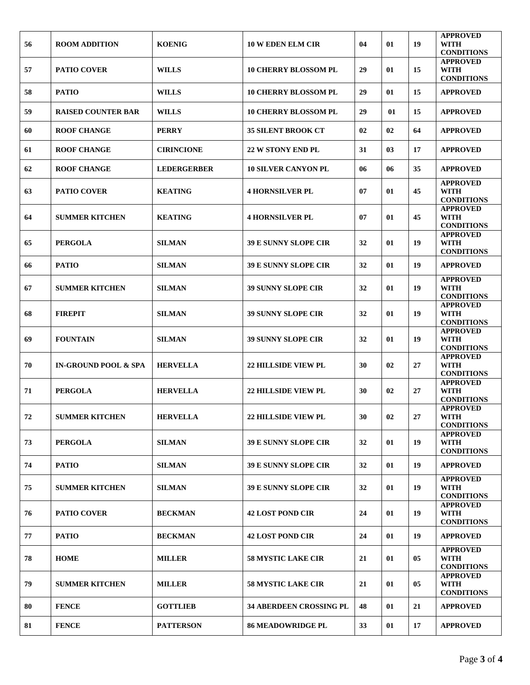| 56         | <b>ROOM ADDITION</b>            | <b>KOENIG</b>      | <b>10 W EDEN ELM CIR</b>       | 04 | 01 | 19 | <b>APPROVED</b><br>WITH<br><b>CONDITIONS</b>        |
|------------|---------------------------------|--------------------|--------------------------------|----|----|----|-----------------------------------------------------|
| 57         | <b>PATIO COVER</b>              | <b>WILLS</b>       | <b>10 CHERRY BLOSSOM PL</b>    | 29 | 01 | 15 | <b>APPROVED</b><br>WITH<br><b>CONDITIONS</b>        |
| 58         | <b>PATIO</b>                    | <b>WILLS</b>       | <b>10 CHERRY BLOSSOM PL</b>    | 29 | 01 | 15 | <b>APPROVED</b>                                     |
| 59         | <b>RAISED COUNTER BAR</b>       | <b>WILLS</b>       | <b>10 CHERRY BLOSSOM PL</b>    | 29 | 01 | 15 | <b>APPROVED</b>                                     |
| 60         | <b>ROOF CHANGE</b>              | <b>PERRY</b>       | <b>35 SILENT BROOK CT</b>      | 02 | 02 | 64 | <b>APPROVED</b>                                     |
| 61         | <b>ROOF CHANGE</b>              | <b>CIRINCIONE</b>  | <b>22 W STONY END PL</b>       | 31 | 03 | 17 | <b>APPROVED</b>                                     |
| 62         | <b>ROOF CHANGE</b>              | <b>LEDERGERBER</b> | <b>10 SILVER CANYON PL</b>     | 06 | 06 | 35 | <b>APPROVED</b>                                     |
| 63         | <b>PATIO COVER</b>              | <b>KEATING</b>     | <b>4 HORNSILVER PL</b>         | 07 | 01 | 45 | <b>APPROVED</b><br><b>WITH</b><br><b>CONDITIONS</b> |
| 64         | <b>SUMMER KITCHEN</b>           | <b>KEATING</b>     | <b>4 HORNSILVER PL</b>         | 07 | 01 | 45 | <b>APPROVED</b><br>WITH<br><b>CONDITIONS</b>        |
| 65         | <b>PERGOLA</b>                  | <b>SILMAN</b>      | <b>39 E SUNNY SLOPE CIR</b>    | 32 | 01 | 19 | <b>APPROVED</b><br><b>WITH</b><br><b>CONDITIONS</b> |
| 66         | <b>PATIO</b>                    | <b>SILMAN</b>      | <b>39 E SUNNY SLOPE CIR</b>    | 32 | 01 | 19 | <b>APPROVED</b>                                     |
| 67         | <b>SUMMER KITCHEN</b>           | <b>SILMAN</b>      | <b>39 SUNNY SLOPE CIR</b>      | 32 | 01 | 19 | <b>APPROVED</b><br>WITH<br><b>CONDITIONS</b>        |
| 68         | <b>FIREPIT</b>                  | <b>SILMAN</b>      | <b>39 SUNNY SLOPE CIR</b>      | 32 | 01 | 19 | <b>APPROVED</b><br><b>WITH</b><br><b>CONDITIONS</b> |
| 69         | <b>FOUNTAIN</b>                 | <b>SILMAN</b>      | <b>39 SUNNY SLOPE CIR</b>      | 32 | 01 | 19 | <b>APPROVED</b><br><b>WITH</b><br><b>CONDITIONS</b> |
| 70         | <b>IN-GROUND POOL &amp; SPA</b> | <b>HERVELLA</b>    | <b>22 HILLSIDE VIEW PL</b>     | 30 | 02 | 27 | <b>APPROVED</b><br><b>WITH</b><br><b>CONDITIONS</b> |
| 71         | <b>PERGOLA</b>                  | <b>HERVELLA</b>    | <b>22 HILLSIDE VIEW PL</b>     | 30 | 02 | 27 | <b>APPROVED</b><br><b>WITH</b><br><b>CONDITIONS</b> |
| ${\bf 72}$ | <b>SUMMER KITCHEN</b>           | <b>HERVELLA</b>    | <b>22 HILLSIDE VIEW PL</b>     | 30 | 02 | 27 | <b>APPROVED</b><br><b>WITH</b><br><b>CONDITIONS</b> |
| 73         | <b>PERGOLA</b>                  | <b>SILMAN</b>      | <b>39 E SUNNY SLOPE CIR</b>    | 32 | 01 | 19 | <b>APPROVED</b><br><b>WITH</b><br><b>CONDITIONS</b> |
| 74         | <b>PATIO</b>                    | <b>SILMAN</b>      | <b>39 E SUNNY SLOPE CIR</b>    | 32 | 01 | 19 | <b>APPROVED</b>                                     |
| 75         | <b>SUMMER KITCHEN</b>           | <b>SILMAN</b>      | <b>39 E SUNNY SLOPE CIR</b>    | 32 | 01 | 19 | <b>APPROVED</b><br><b>WITH</b><br><b>CONDITIONS</b> |
| 76         | <b>PATIO COVER</b>              | <b>BECKMAN</b>     | <b>42 LOST POND CIR</b>        | 24 | 01 | 19 | <b>APPROVED</b><br><b>WITH</b><br><b>CONDITIONS</b> |
| 77         | <b>PATIO</b>                    | <b>BECKMAN</b>     | <b>42 LOST POND CIR</b>        | 24 | 01 | 19 | <b>APPROVED</b>                                     |
| 78         | <b>HOME</b>                     | <b>MILLER</b>      | <b>58 MYSTIC LAKE CIR</b>      | 21 | 01 | 05 | <b>APPROVED</b><br><b>WITH</b><br><b>CONDITIONS</b> |
| 79         | <b>SUMMER KITCHEN</b>           | <b>MILLER</b>      | <b>58 MYSTIC LAKE CIR</b>      | 21 | 01 | 05 | <b>APPROVED</b><br>WITH<br><b>CONDITIONS</b>        |
| 80         | <b>FENCE</b>                    | <b>GOTTLIEB</b>    | <b>34 ABERDEEN CROSSING PL</b> | 48 | 01 | 21 | <b>APPROVED</b>                                     |
| 81         | <b>FENCE</b>                    | <b>PATTERSON</b>   | <b>86 MEADOWRIDGE PL</b>       | 33 | 01 | 17 | <b>APPROVED</b>                                     |